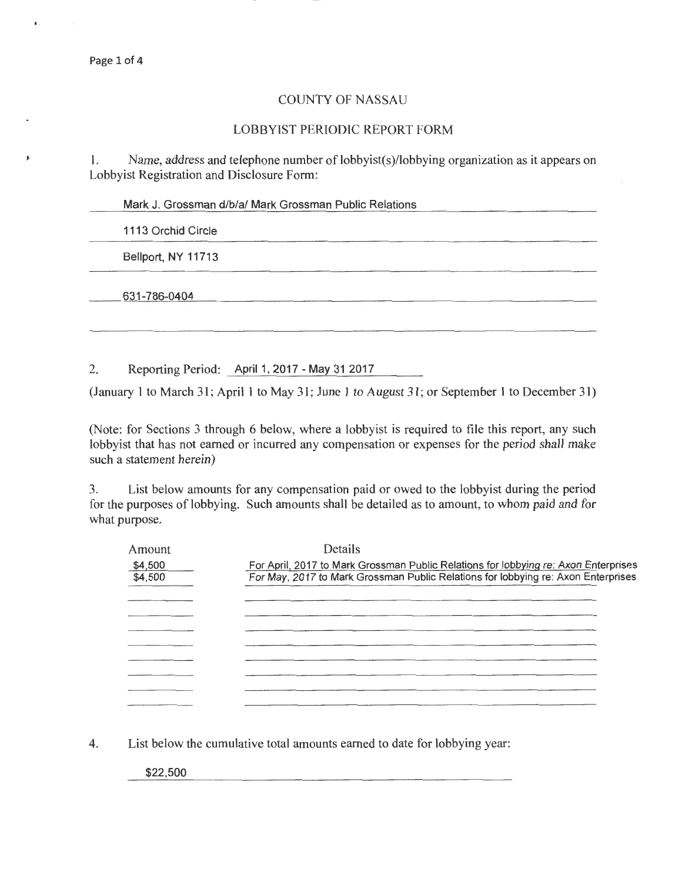..

## COUNTY OF NASSAU

## LOBBYIST PERIODIC REPORT FORM

I. Name, address and telephone number of lobbyist(s)/lobbying organization as it appears on Lobbyist Registration and Disclosure Form:

Mark J. Grossman d/b/a/ Mark Grossman Public Relations

1113 Orchid Circle

Bellport, NY 11713

631-786-0404

2. Reporting Period: April 1, 2017 - May 31 2017

(January 1 to March 31; April 1 to May 31; June 1 to August 31; or September 1 to December 31)

(Note: for Sections 3 through 6 below, where a lobbyist is required to file this report, any such lobbyist that has not earned or incurred any compensation or expenses for the period shall make such a statement herein)

3. List below amounts for any compensation paid or owed to the lobbyist during the period for the purposes of lobbying. Such amounts shall be detailed as to amount, to whom paid and for what purpose.

| Amount  | Details                                                                             |
|---------|-------------------------------------------------------------------------------------|
| \$4,500 | For April, 2017 to Mark Grossman Public Relations for lobbying re: Axon Enterprises |
| \$4,500 | For May, 2017 to Mark Grossman Public Relations for lobbying re: Axon Enterprises   |
|         |                                                                                     |
|         |                                                                                     |
|         |                                                                                     |
|         |                                                                                     |
|         |                                                                                     |
|         |                                                                                     |
|         |                                                                                     |
|         |                                                                                     |

4. List below the cumulative total amounts earned to date for lobbying year:

\$22,500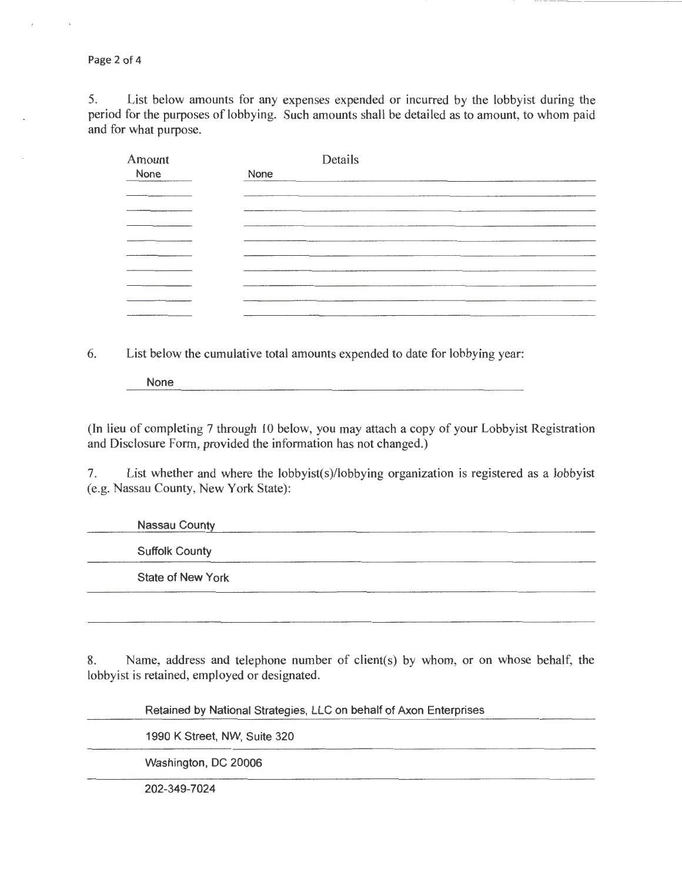Page 2 of 4

5. List below amounts for any expenses expended or incurred by the lobbyist during the period for the purposes of lobbying. Such amounts shall be detailed as to amount, to whom paid and for what purpose.

| Amount | Details                                         |
|--------|-------------------------------------------------|
| None   | None                                            |
|        |                                                 |
|        |                                                 |
|        |                                                 |
|        |                                                 |
|        |                                                 |
|        |                                                 |
|        | the contract of the contract of the contract of |
|        |                                                 |
|        |                                                 |

6. List below the cumulative total amounts expended to date for lobbying year:

None

(In lieu of completing 7 through 10 below, you may attach a copy of your Lobbyist Registration and Disclosure Form, provided the information has not changed.)

7. List whether and where the lobbyist(s)/lobbying organization is registered as a lobbyist (e.g. Nassau County, New York State):

Nassau County Suffolk County State of New York

8. Name, address and telephone number of client(s) by whom, or on whose behalf, the lobbyist is retained, employed or designated.

Retained by National Strategies, LLC on behalf of Axon Enterprises 1990 K Street, NW, Suite 320 Washington, DC 20006 202-349-7024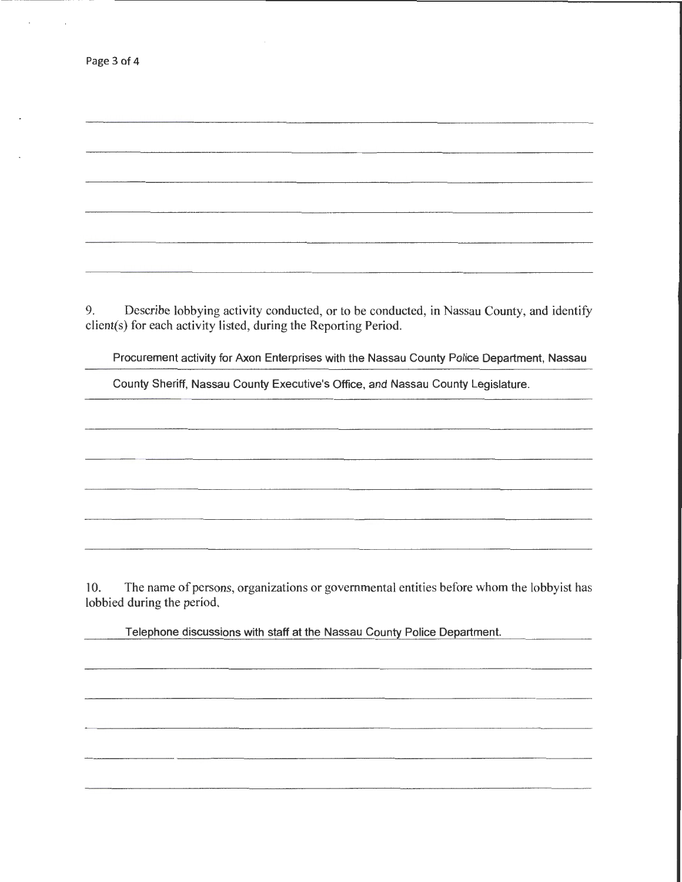| Page 3 of 4 |  |  |  |
|-------------|--|--|--|
|-------------|--|--|--|

9. Describe lobbying activity conducted, or to be conducted, in Nassau County, and identify client(s) for each activity listed, during the Reporting Period.

Procurement activity for Axon Enterprises with the Nassau County Police Department, Nassau

County Sheriff, Nassau County Executive's Office, and Nassau County Legislature.

10. The name of persons, organizations or governmental entities before whom the lobbyist has lobbied during the period.

Telephone discussions with staff at the Nassau County Police Department.